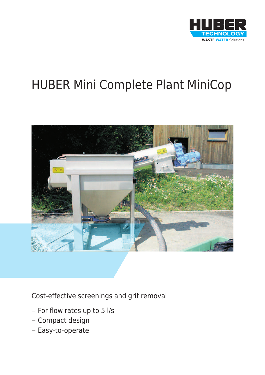

# HUBER Mini Complete Plant MiniCop



Cost-effective screenings and grit removal

- For flow rates up to 5 l/s
- Compact design
- Easy-to-operate